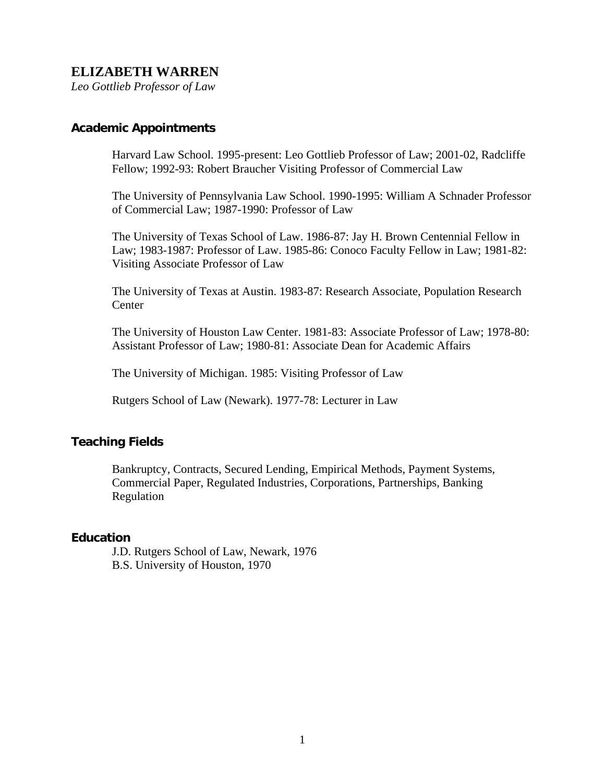# **ELIZABETH WARREN**

*Leo Gottlieb Professor of Law* 

#### **Academic Appointments**

Harvard Law School. 1995-present: Leo Gottlieb Professor of Law; 2001-02, Radcliffe Fellow; 1992-93: Robert Braucher Visiting Professor of Commercial Law

The University of Pennsylvania Law School. 1990-1995: William A Schnader Professor of Commercial Law; 1987-1990: Professor of Law

The University of Texas School of Law. 1986-87: Jay H. Brown Centennial Fellow in Law; 1983-1987: Professor of Law. 1985-86: Conoco Faculty Fellow in Law; 1981-82: Visiting Associate Professor of Law

The University of Texas at Austin. 1983-87: Research Associate, Population Research Center

The University of Houston Law Center. 1981-83: Associate Professor of Law; 1978-80: Assistant Professor of Law; 1980-81: Associate Dean for Academic Affairs

The University of Michigan. 1985: Visiting Professor of Law

Rutgers School of Law (Newark). 1977-78: Lecturer in Law

### **Teaching Fields**

Bankruptcy, Contracts, Secured Lending, Empirical Methods, Payment Systems, Commercial Paper, Regulated Industries, Corporations, Partnerships, Banking Regulation

#### **Education**

J.D. Rutgers School of Law, Newark, 1976 B.S. University of Houston, 1970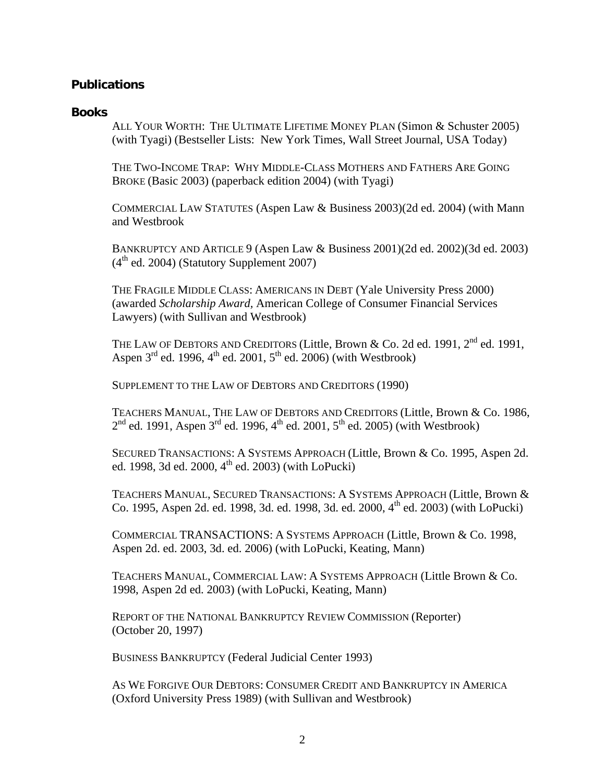## **Publications**

#### **Books**

ALL YOUR WORTH: THE ULTIMATE LIFETIME MONEY PLAN (Simon & Schuster 2005) (with Tyagi) (Bestseller Lists: New York Times, Wall Street Journal, USA Today)

THE TWO-INCOME TRAP: WHY MIDDLE-CLASS MOTHERS AND FATHERS ARE GOING BROKE (Basic 2003) (paperback edition 2004) (with Tyagi)

COMMERCIAL LAW STATUTES (Aspen Law & Business 2003)(2d ed. 2004) (with Mann and Westbrook

BANKRUPTCY AND ARTICLE 9 (Aspen Law & Business 2001)(2d ed. 2002)(3d ed. 2003)  $(4<sup>th</sup>$  ed. 2004) (Statutory Supplement 2007)

THE FRAGILE MIDDLE CLASS: AMERICANS IN DEBT (Yale University Press 2000) (awarded *Scholarship Award,* American College of Consumer Financial Services Lawyers) (with Sullivan and Westbrook)

THE LAW OF DEBTORS AND CREDITORS (Little, Brown & Co. 2d ed. 1991, 2<sup>nd</sup> ed. 1991, Aspen  $3<sup>rd</sup>$  ed. 1996,  $4<sup>th</sup>$  ed. 2001,  $5<sup>th</sup>$  ed. 2006) (with Westbrook)

SUPPLEMENT TO THE LAW OF DEBTORS AND CREDITORS (1990)

TEACHERS MANUAL, THE LAW OF DEBTORS AND CREDITORS (Little, Brown & Co. 1986,  $2<sup>nd</sup>$  ed. 1991, Aspen  $3<sup>rd</sup>$  ed. 1996,  $4<sup>th</sup>$  ed. 2001,  $5<sup>th</sup>$  ed. 2005) (with Westbrook)

SECURED TRANSACTIONS: A SYSTEMS APPROACH (Little, Brown & Co. 1995, Aspen 2d. ed. 1998, 3d ed. 2000,  $4^{\text{th}}$  ed. 2003) (with LoPucki)

TEACHERS MANUAL, SECURED TRANSACTIONS: A SYSTEMS APPROACH (Little, Brown & Co. 1995, Aspen 2d. ed. 1998, 3d. ed. 1998, 3d. ed. 2000, 4<sup>th</sup> ed. 2003) (with LoPucki)

COMMERCIAL TRANSACTIONS: A SYSTEMS APPROACH (Little, Brown & Co. 1998, Aspen 2d. ed. 2003, 3d. ed. 2006) (with LoPucki, Keating, Mann)

TEACHERS MANUAL, COMMERCIAL LAW: A SYSTEMS APPROACH (Little Brown & Co. 1998, Aspen 2d ed. 2003) (with LoPucki, Keating, Mann)

REPORT OF THE NATIONAL BANKRUPTCY REVIEW COMMISSION (Reporter) (October 20, 1997)

BUSINESS BANKRUPTCY (Federal Judicial Center 1993)

AS WE FORGIVE OUR DEBTORS: CONSUMER CREDIT AND BANKRUPTCY IN AMERICA (Oxford University Press 1989) (with Sullivan and Westbrook)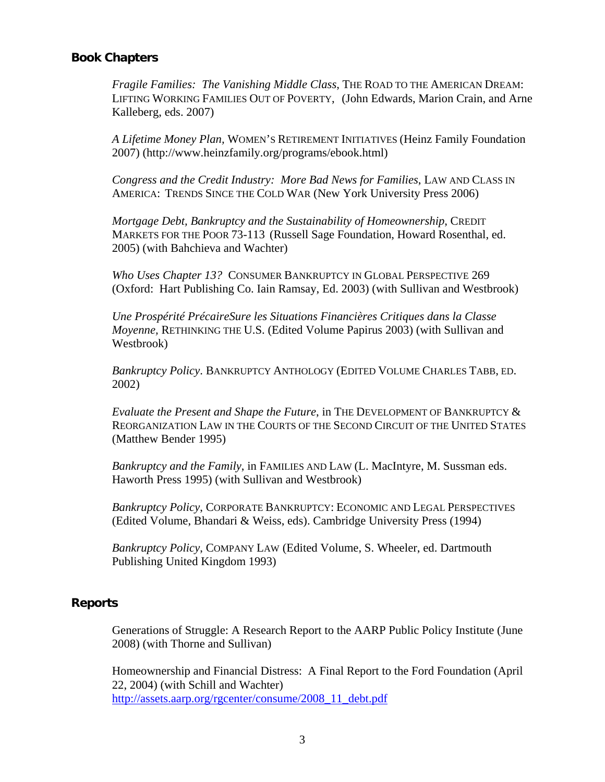#### **Book Chapters**

*Fragile Families: The Vanishing Middle Class*, THE ROAD TO THE AMERICAN DREAM: LIFTING WORKING FAMILIES OUT OF POVERTY, (John Edwards, Marion Crain, and Arne Kalleberg, eds. 2007)

*A Lifetime Money Plan,* WOMEN'S RETIREMENT INITIATIVES (Heinz Family Foundation 2007) (http://www.heinzfamily.org/programs/ebook.html)

*Congress and the Credit Industry: More Bad News for Families*, LAW AND CLASS IN AMERICA: TRENDS SINCE THE COLD WAR (New York University Press 2006)

*Mortgage Debt, Bankruptcy and the Sustainability of Homeownership*, CREDIT MARKETS FOR THE POOR 73-113 (Russell Sage Foundation, Howard Rosenthal, ed. 2005) (with Bahchieva and Wachter)

*Who Uses Chapter 13?* CONSUMER BANKRUPTCY IN GLOBAL PERSPECTIVE 269 (Oxford: Hart Publishing Co. Iain Ramsay, Ed. 2003) (with Sullivan and Westbrook)

*Une Prospérité PrécaireSure les Situations Financières Critiques dans la Classe Moyenne,* RETHINKING THE U.S. (Edited Volume Papirus 2003) (with Sullivan and Westbrook)

*Bankruptcy Policy*. BANKRUPTCY ANTHOLOGY (EDITED VOLUME CHARLES TABB, ED. 2002)

*Evaluate the Present and Shape the Future*, in THE DEVELOPMENT OF BANKRUPTCY & REORGANIZATION LAW IN THE COURTS OF THE SECOND CIRCUIT OF THE UNITED STATES (Matthew Bender 1995)

*Bankruptcy and the Family*, in FAMILIES AND LAW (L. MacIntyre, M. Sussman eds. Haworth Press 1995) (with Sullivan and Westbrook)

*Bankruptcy Policy*, CORPORATE BANKRUPTCY: ECONOMIC AND LEGAL PERSPECTIVES (Edited Volume, Bhandari & Weiss, eds). Cambridge University Press (1994)

*Bankruptcy Policy*, COMPANY LAW (Edited Volume, S. Wheeler, ed. Dartmouth Publishing United Kingdom 1993)

# **Reports**

Generations of Struggle: A Research Report to the AARP Public Policy Institute (June 2008) (with Thorne and Sullivan)

Homeownership and Financial Distress: A Final Report to the Ford Foundation (April 22, 2004) (with Schill and Wachter) [http://assets.aarp.org/rgcenter/consume/2008\\_11\\_debt.pdf](http://assets.aarp.org/rgcenter/consume/2008_11_debt.pdf)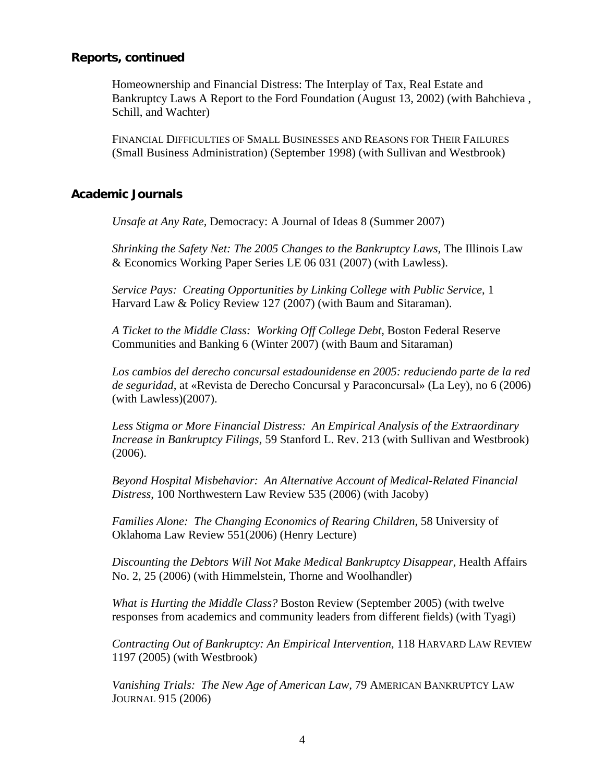#### **Reports, continued**

Homeownership and Financial Distress: The Interplay of Tax, Real Estate and Bankruptcy Laws A Report to the Ford Foundation (August 13, 2002) (with Bahchieva , Schill, and Wachter)

FINANCIAL DIFFICULTIES OF SMALL BUSINESSES AND REASONS FOR THEIR FAILURES (Small Business Administration) (September 1998) (with Sullivan and Westbrook)

#### **Academic Journals**

*Unsafe at Any Rate,* Democracy: A Journal of Ideas 8 (Summer 2007)

*Shrinking the Safety Net: The 2005 Changes to the Bankruptcy Laws, The Illinois Law* & Economics Working Paper Series LE 06 031 (2007) (with Lawless).

*Service Pays: Creating Opportunities by Linking College with Public Service*, 1 Harvard Law & Policy Review 127 (2007) (with Baum and Sitaraman).

*A Ticket to the Middle Class: Working Off College Debt,* Boston Federal Reserve Communities and Banking 6 (Winter 2007) (with Baum and Sitaraman)

*Los cambios del derecho concursal estadounidense en 2005: reduciendo parte de la red de seguridad*, at «Revista de Derecho Concursal y Paraconcursal» (La Ley), no 6 (2006) (with Lawless)(2007).

*Less Stigma or More Financial Distress: An Empirical Analysis of the Extraordinary Increase in Bankruptcy Filings,* 59 Stanford L. Rev. 213 (with Sullivan and Westbrook) (2006).

*Beyond Hospital Misbehavior: An Alternative Account of Medical-Related Financial Distress*, 100 Northwestern Law Review 535 (2006) (with Jacoby)

*Families Alone: The Changing Economics of Rearing Children*, 58 University of Oklahoma Law Review 551(2006) (Henry Lecture)

*Discounting the Debtors Will Not Make Medical Bankruptcy Disappear*, Health Affairs No. 2, 25 (2006) (with Himmelstein, Thorne and Woolhandler)

*What is Hurting the Middle Class?* Boston Review (September 2005) (with twelve responses from academics and community leaders from different fields) (with Tyagi)

*Contracting Out of Bankruptcy: An Empirical Intervention*, 118 HARVARD LAW REVIEW 1197 (2005) (with Westbrook)

*Vanishing Trials: The New Age of American Law*, 79 AMERICAN BANKRUPTCY LAW JOURNAL 915 (2006)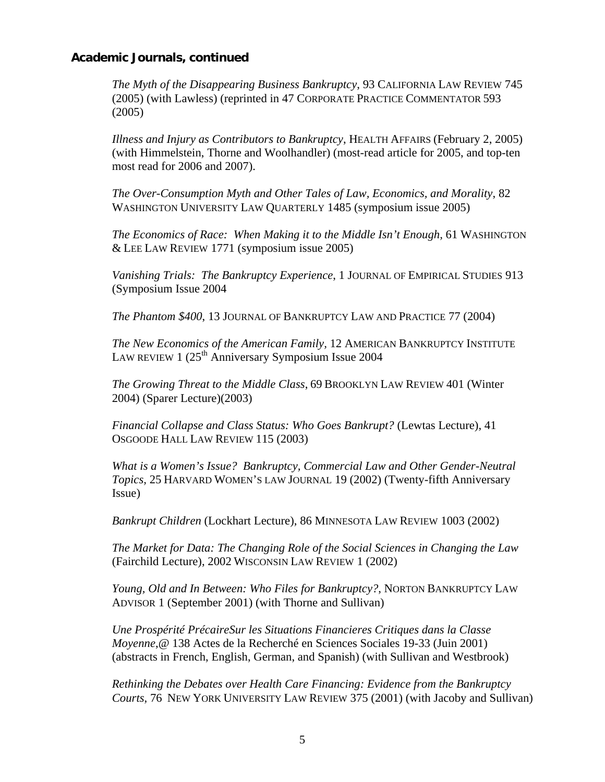*The Myth of the Disappearing Business Bankruptcy*, 93 CALIFORNIA LAW REVIEW 745 (2005) (with Lawless) (reprinted in 47 CORPORATE PRACTICE COMMENTATOR 593 (2005)

*Illness and Injury as Contributors to Bankruptcy*, HEALTH AFFAIRS (February 2, 2005) (with Himmelstein, Thorne and Woolhandler) (most-read article for 2005, and top-ten most read for 2006 and 2007).

*The Over-Consumption Myth and Other Tales of Law, Economics, and Morality*, 82 WASHINGTON UNIVERSITY LAW QUARTERLY 1485 (symposium issue 2005)

*The Economics of Race: When Making it to the Middle Isn't Enough,* 61 WASHINGTON & LEE LAW REVIEW 1771 (symposium issue 2005)

*Vanishing Trials: The Bankruptcy Experience*, 1 JOURNAL OF EMPIRICAL STUDIES 913 (Symposium Issue 2004

*The Phantom \$400*, 13 JOURNAL OF BANKRUPTCY LAW AND PRACTICE 77 (2004)

*The New Economics of the American Family,* 12 AMERICAN BANKRUPTCY INSTITUTE LAW REVIEW 1  $(25<sup>th</sup>$  Anniversary Symposium Issue 2004

*The Growing Threat to the Middle Class*, 69 BROOKLYN LAW REVIEW 401 (Winter 2004) (Sparer Lecture)(2003)

*Financial Collapse and Class Status: Who Goes Bankrupt?* (Lewtas Lecture), 41 OSGOODE HALL LAW REVIEW 115 (2003)

*What is a Women's Issue? Bankruptcy, Commercial Law and Other Gender-Neutral Topics,* 25 HARVARD WOMEN'S LAW JOURNAL 19 (2002) (Twenty-fifth Anniversary Issue)

*Bankrupt Children* (Lockhart Lecture), 86 MINNESOTA LAW REVIEW 1003 (2002)

*The Market for Data: The Changing Role of the Social Sciences in Changing the Law* (Fairchild Lecture), 2002 WISCONSIN LAW REVIEW 1 (2002)

*Young, Old and In Between: Who Files for Bankruptcy?*, NORTON BANKRUPTCY LAW ADVISOR 1 (September 2001) (with Thorne and Sullivan)

*Une Prospérité PrécaireSur les Situations Financieres Critiques dans la Classe Moyenne*,@ 138 Actes de la Recherché en Sciences Sociales 19-33 (Juin 2001) (abstracts in French, English, German, and Spanish) (with Sullivan and Westbrook)

*Rethinking the Debates over Health Care Financing: Evidence from the Bankruptcy Courts,* 76 NEW YORK UNIVERSITY LAW REVIEW 375 (2001) (with Jacoby and Sullivan)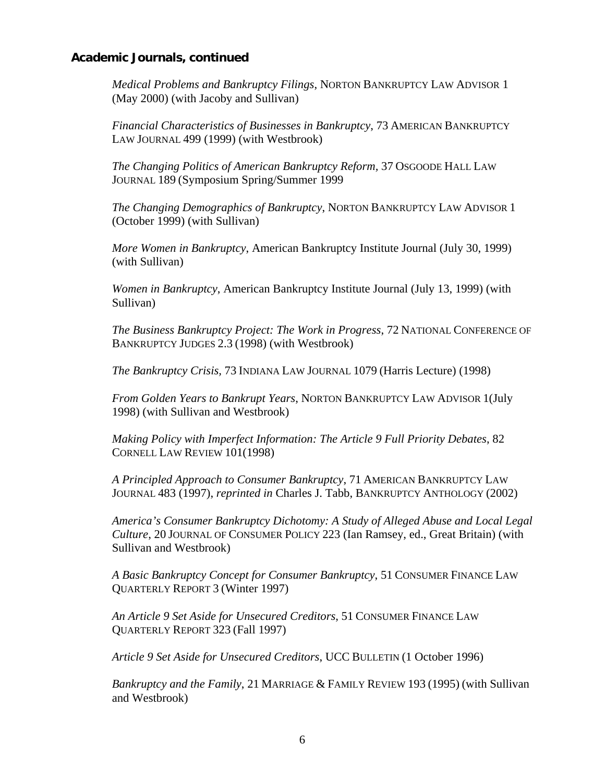*Medical Problems and Bankruptcy Filings*, NORTON BANKRUPTCY LAW ADVISOR 1 (May 2000) (with Jacoby and Sullivan)

*Financial Characteristics of Businesses in Bankruptcy*, 73 AMERICAN BANKRUPTCY LAW JOURNAL 499 (1999) (with Westbrook)

*The Changing Politics of American Bankruptcy Reform,* 37 OSGOODE HALL LAW JOURNAL 189 (Symposium Spring/Summer 1999

*The Changing Demographics of Bankruptcy*, NORTON BANKRUPTCY LAW ADVISOR 1 (October 1999) (with Sullivan)

*More Women in Bankruptcy*, American Bankruptcy Institute Journal (July 30, 1999) (with Sullivan)

*Women in Bankruptcy*, American Bankruptcy Institute Journal (July 13, 1999) (with Sullivan)

*The Business Bankruptcy Project: The Work in Progress*, 72 NATIONAL CONFERENCE OF BANKRUPTCY JUDGES 2.3 (1998) (with Westbrook)

*The Bankruptcy Crisis,* 73 INDIANA LAW JOURNAL 1079 (Harris Lecture) (1998)

*From Golden Years to Bankrupt Years*, NORTON BANKRUPTCY LAW ADVISOR 1(July 1998) (with Sullivan and Westbrook)

*Making Policy with Imperfect Information: The Article 9 Full Priority Debates*, 82 CORNELL LAW REVIEW 101(1998)

*A Principled Approach to Consumer Bankruptcy*, 71 AMERICAN BANKRUPTCY LAW JOURNAL 483 (1997), *reprinted in* Charles J. Tabb, BANKRUPTCY ANTHOLOGY (2002)

*America's Consumer Bankruptcy Dichotomy: A Study of Alleged Abuse and Local Legal Culture*, 20 JOURNAL OF CONSUMER POLICY 223 (Ian Ramsey, ed., Great Britain) (with Sullivan and Westbrook)

*A Basic Bankruptcy Concept for Consumer Bankruptcy*, 51 CONSUMER FINANCE LAW QUARTERLY REPORT 3 (Winter 1997)

*An Article 9 Set Aside for Unsecured Creditors*, 51 CONSUMER FINANCE LAW QUARTERLY REPORT 323 (Fall 1997)

*Article 9 Set Aside for Unsecured Creditors*, UCC BULLETIN (1 October 1996)

*Bankruptcy and the Family*, 21 MARRIAGE & FAMILY REVIEW 193 (1995) (with Sullivan and Westbrook)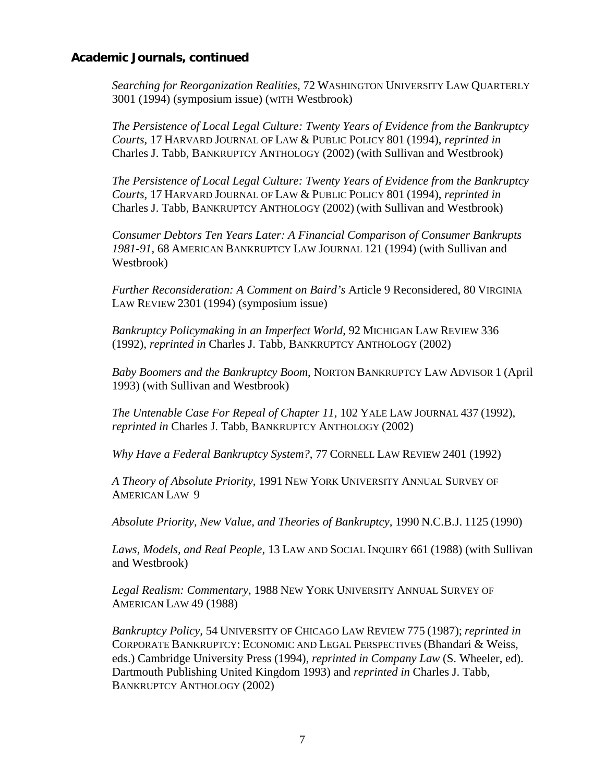*Searching for Reorganization Realities*, 72 WASHINGTON UNIVERSITY LAW QUARTERLY 3001 (1994) (symposium issue) (wITH Westbrook)

*The Persistence of Local Legal Culture: Twenty Years of Evidence from the Bankruptcy Courts*, 17 HARVARD JOURNAL OF LAW & PUBLIC POLICY 801 (1994), *reprinted in*  Charles J. Tabb, BANKRUPTCY ANTHOLOGY (2002) (with Sullivan and Westbrook)

*The Persistence of Local Legal Culture: Twenty Years of Evidence from the Bankruptcy Courts*, 17 HARVARD JOURNAL OF LAW & PUBLIC POLICY 801 (1994), *reprinted in*  Charles J. Tabb, BANKRUPTCY ANTHOLOGY (2002) (with Sullivan and Westbrook)

*Consumer Debtors Ten Years Later: A Financial Comparison of Consumer Bankrupts 1981-91*, 68 AMERICAN BANKRUPTCY LAW JOURNAL 121 (1994) (with Sullivan and Westbrook)

*Further Reconsideration: A Comment on Baird's* Article 9 Reconsidered, 80 VIRGINIA LAW REVIEW 2301 (1994) (symposium issue)

*Bankruptcy Policymaking in an Imperfect World*, 92 MICHIGAN LAW REVIEW 336 (1992), *reprinted in* Charles J. Tabb, BANKRUPTCY ANTHOLOGY (2002)

*Baby Boomers and the Bankruptcy Boom*, NORTON BANKRUPTCY LAW ADVISOR 1 (April 1993) (with Sullivan and Westbrook)

*The Untenable Case For Repeal of Chapter 11*, 102 YALE LAW JOURNAL 437 (1992), *reprinted in* Charles J. Tabb, BANKRUPTCY ANTHOLOGY (2002)

*Why Have a Federal Bankruptcy System?*, 77 CORNELL LAW REVIEW 2401 (1992)

*A Theory of Absolute Priority*, 1991 NEW YORK UNIVERSITY ANNUAL SURVEY OF AMERICAN LAW 9

*Absolute Priority, New Value, and Theories of Bankruptcy,* 1990 N.C.B.J. 1125 (1990)

*Laws, Models, and Real People*, 13 LAW AND SOCIAL INQUIRY 661 (1988) (with Sullivan and Westbrook)

*Legal Realism: Commentary*, 1988 NEW YORK UNIVERSITY ANNUAL SURVEY OF AMERICAN LAW 49 (1988)

*Bankruptcy Policy,* 54 UNIVERSITY OF CHICAGO LAW REVIEW 775 (1987); *reprinted in* CORPORATE BANKRUPTCY: ECONOMIC AND LEGAL PERSPECTIVES (Bhandari & Weiss, eds.) Cambridge University Press (1994), *reprinted in Company Law* (S. Wheeler, ed). Dartmouth Publishing United Kingdom 1993) and *reprinted in* Charles J. Tabb, BANKRUPTCY ANTHOLOGY (2002)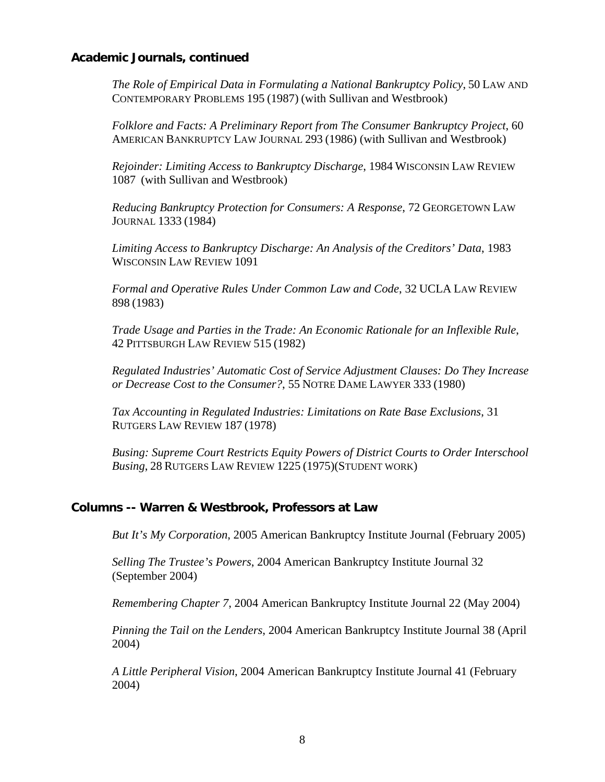*The Role of Empirical Data in Formulating a National Bankruptcy Policy*, 50 LAW AND CONTEMPORARY PROBLEMS 195 (1987) (with Sullivan and Westbrook)

*Folklore and Facts: A Preliminary Report from The Consumer Bankruptcy Project*, 60 AMERICAN BANKRUPTCY LAW JOURNAL 293 (1986) (with Sullivan and Westbrook)

*Rejoinder: Limiting Access to Bankruptcy Discharge*, 1984 WISCONSIN LAW REVIEW 1087 (with Sullivan and Westbrook)

*Reducing Bankruptcy Protection for Consumers: A Response*, 72 GEORGETOWN LAW JOURNAL 1333 (1984)

*Limiting Access to Bankruptcy Discharge: An Analysis of the Creditors' Data*, 1983 WISCONSIN LAW REVIEW 1091

*Formal and Operative Rules Under Common Law and Code*, 32 UCLA LAW REVIEW 898 (1983)

*Trade Usage and Parties in the Trade: An Economic Rationale for an Inflexible Rule*, 42 PITTSBURGH LAW REVIEW 515 (1982)

*Regulated Industries' Automatic Cost of Service Adjustment Clauses: Do They Increase or Decrease Cost to the Consumer?*, 55 NOTRE DAME LAWYER 333 (1980)

*Tax Accounting in Regulated Industries: Limitations on Rate Base Exclusions*, 31 RUTGERS LAW REVIEW 187 (1978)

*Busing: Supreme Court Restricts Equity Powers of District Courts to Order Interschool Busing*, 28 RUTGERS LAW REVIEW 1225 (1975)(STUDENT WORK)

#### **Columns -- Warren & Westbrook, Professors at Law**

*But It's My Corporation*, 2005 American Bankruptcy Institute Journal (February 2005)

*Selling The Trustee's Powers*, 2004 American Bankruptcy Institute Journal 32 (September 2004)

*Remembering Chapter 7*, 2004 American Bankruptcy Institute Journal 22 (May 2004)

*Pinning the Tail on the Lenders*, 2004 American Bankruptcy Institute Journal 38 (April 2004)

*A Little Peripheral Vision*, 2004 American Bankruptcy Institute Journal 41 (February 2004)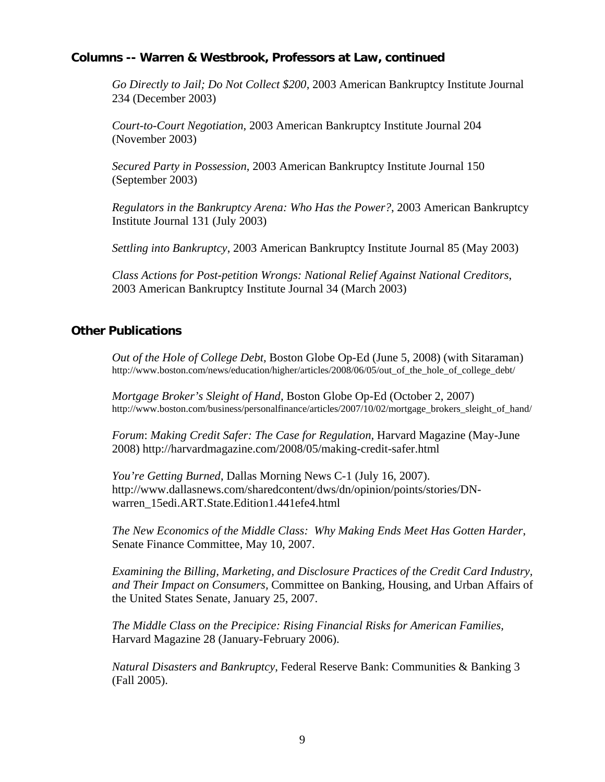# **Columns -- Warren & Westbrook, Professors at Law, continued**

*Go Directly to Jail; Do Not Collect \$200*, 2003 American Bankruptcy Institute Journal 234 (December 2003)

*Court-to-Court Negotiation*, 2003 American Bankruptcy Institute Journal 204 (November 2003)

*Secured Party in Possession*, 2003 American Bankruptcy Institute Journal 150 (September 2003)

*Regulators in the Bankruptcy Arena: Who Has the Power?*, 2003 American Bankruptcy Institute Journal 131 (July 2003)

*Settling into Bankruptcy*, 2003 American Bankruptcy Institute Journal 85 (May 2003)

*Class Actions for Post-petition Wrongs: National Relief Against National Creditors*, 2003 American Bankruptcy Institute Journal 34 (March 2003)

## **Other Publications**

*Out of the Hole of College Debt,* Boston Globe Op-Ed (June 5, 2008) (with Sitaraman) http://www.boston.com/news/education/higher/articles/2008/06/05/out\_of\_the\_hole\_of\_college\_debt/

*Mortgage Broker's Sleight of Hand,* Boston Globe Op-Ed (October 2, 2007) http://www.boston.com/business/personalfinance/articles/2007/10/02/mortgage\_brokers\_sleight\_of\_hand/

*Forum*: *Making Credit Safer: The Case for Regulation,* Harvard Magazine (May-June 2008) http://harvardmagazine.com/2008/05/making-credit-safer.html

*You're Getting Burned*, Dallas Morning News C-1 (July 16, 2007). http://www.dallasnews.com/sharedcontent/dws/dn/opinion/points/stories/DNwarren\_15edi.ART.State.Edition1.441efe4.html

*The New Economics of the Middle Class: Why Making Ends Meet Has Gotten Harder*, Senate Finance Committee, May 10, 2007.

*Examining the Billing, Marketing, and Disclosure Practices of the Credit Card Industry, and Their Impact on Consumers,* Committee on Banking, Housing, and Urban Affairs of the United States Senate, January 25, 2007.

*The Middle Class on the Precipice: Rising Financial Risks for American Families,* Harvard Magazine 28 (January-February 2006).

*Natural Disasters and Bankruptcy*, Federal Reserve Bank: Communities & Banking 3 (Fall 2005).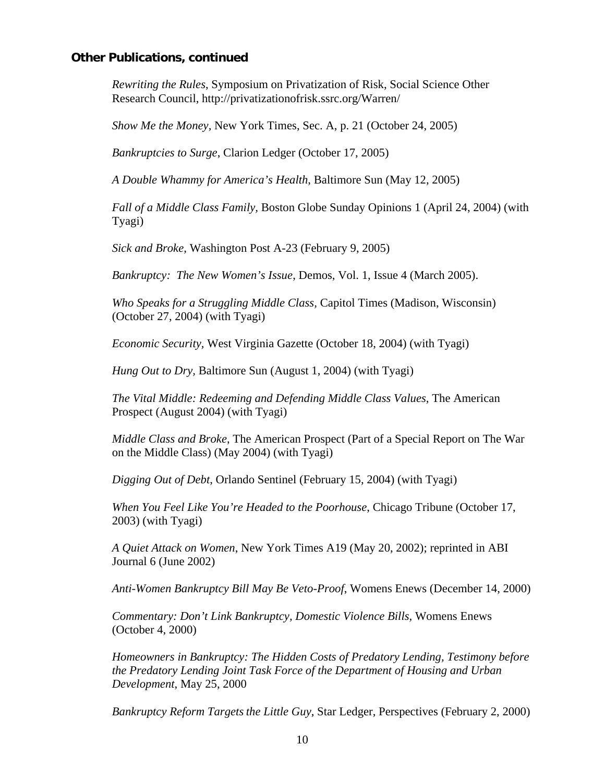#### **Other Publications, continued**

*Rewriting the Rules*, Symposium on Privatization of Risk, Social Science Other Research Council, http://privatizationofrisk.ssrc.org/Warren/

*Show Me the Money,* New York Times, Sec. A, p. 21 (October 24, 2005)

*Bankruptcies to Surge*, Clarion Ledger (October 17, 2005)

*A Double Whammy for America's Health*, Baltimore Sun (May 12, 2005)

*Fall of a Middle Class Family,* Boston Globe Sunday Opinions 1 (April 24, 2004) (with Tyagi)

*Sick and Broke*, Washington Post A-23 (February 9, 2005)

*Bankruptcy: The New Women's Issue*, Demos, Vol. 1, Issue 4 (March 2005).

*Who Speaks for a Struggling Middle Class,* Capitol Times (Madison, Wisconsin) (October 27, 2004) (with Tyagi)

*Economic Security,* West Virginia Gazette (October 18, 2004) (with Tyagi)

*Hung Out to Dry, Baltimore Sun (August 1, 2004)* (with Tyagi)

*The Vital Middle: Redeeming and Defending Middle Class Values*, The American Prospect (August 2004) (with Tyagi)

*Middle Class and Broke*, The American Prospect (Part of a Special Report on The War on the Middle Class) (May 2004) (with Tyagi)

*Digging Out of Debt*, Orlando Sentinel (February 15, 2004) (with Tyagi)

*When You Feel Like You're Headed to the Poorhouse*, Chicago Tribune (October 17, 2003) (with Tyagi)

*A Quiet Attack on Women*, New York Times A19 (May 20, 2002); reprinted in ABI Journal 6 (June 2002)

*Anti-Women Bankruptcy Bill May Be Veto-Proof*, Womens Enews (December 14, 2000)

*Commentary: Don't Link Bankruptcy, Domestic Violence Bills,* Womens Enews (October 4, 2000)

*Homeowners in Bankruptcy: The Hidden Costs of Predatory Lending, Testimony before the Predatory Lending Joint Task Force of the Department of Housing and Urban Development*, May 25, 2000

*Bankruptcy Reform Targets the Little Guy, Star Ledger, Perspectives (February 2, 2000)*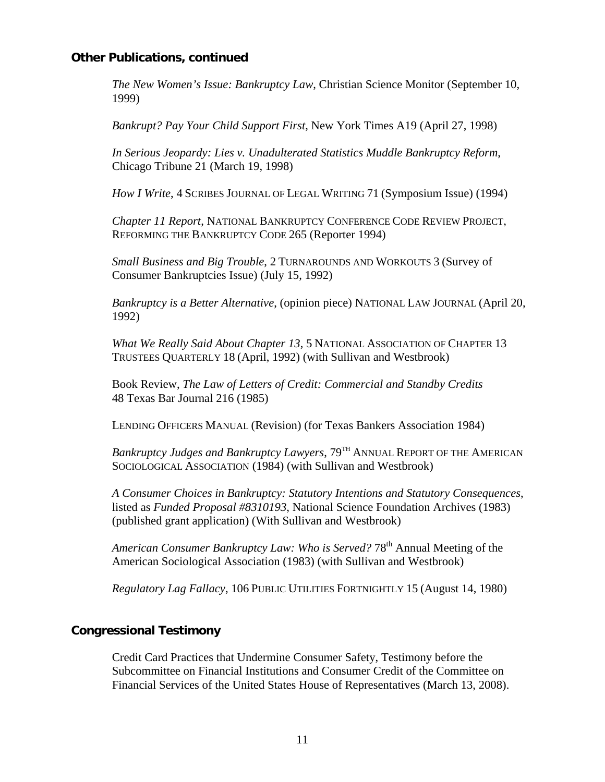## **Other Publications, continued**

*The New Women's Issue: Bankruptcy Law*, Christian Science Monitor (September 10, 1999)

*Bankrupt? Pay Your Child Support First*, New York Times A19 (April 27, 1998)

*In Serious Jeopardy: Lies v. Unadulterated Statistics Muddle Bankruptcy Reform*, Chicago Tribune 21 (March 19, 1998)

*How I Write*, 4 SCRIBES JOURNAL OF LEGAL WRITING 71 (Symposium Issue) (1994)

*Chapter 11 Report*, NATIONAL BANKRUPTCY CONFERENCE CODE REVIEW PROJECT, REFORMING THE BANKRUPTCY CODE 265 (Reporter 1994)

*Small Business and Big Trouble*, 2 TURNAROUNDS AND WORKOUTS 3 (Survey of Consumer Bankruptcies Issue) (July 15, 1992)

*Bankruptcy is a Better Alternative*, (opinion piece) NATIONAL LAW JOURNAL (April 20, 1992)

*What We Really Said About Chapter 13*, 5 NATIONAL ASSOCIATION OF CHAPTER 13 TRUSTEES QUARTERLY 18 (April, 1992) (with Sullivan and Westbrook)

Book Review, *The Law of Letters of Credit: Commercial and Standby Credits* 48 Texas Bar Journal 216 (1985)

LENDING OFFICERS MANUAL (Revision) (for Texas Bankers Association 1984)

*Bankruptcy Judges and Bankruptcy Lawyers*, 79<sup>TH</sup> ANNUAL REPORT OF THE AMERICAN SOCIOLOGICAL ASSOCIATION (1984) (with Sullivan and Westbrook)

*A Consumer Choices in Bankruptcy: Statutory Intentions and Statutory Consequences*, listed as *Funded Proposal #8310193*, National Science Foundation Archives (1983) (published grant application) (With Sullivan and Westbrook)

*American Consumer Bankruptcy Law: Who is Served?* 78<sup>th</sup> Annual Meeting of the American Sociological Association (1983) (with Sullivan and Westbrook)

*Regulatory Lag Fallacy*, 106 PUBLIC UTILITIES FORTNIGHTLY 15 (August 14, 1980)

# **Congressional Testimony**

Credit Card Practices that Undermine Consumer Safety, Testimony before the Subcommittee on Financial Institutions and Consumer Credit of the Committee on Financial Services of the United States House of Representatives (March 13, 2008).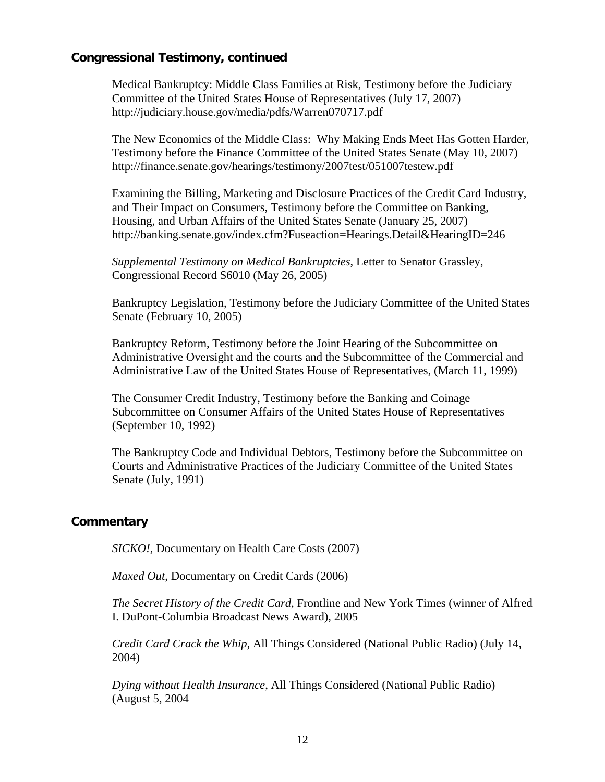## **Congressional Testimony, continued**

Medical Bankruptcy: Middle Class Families at Risk, Testimony before the Judiciary Committee of the United States House of Representatives (July 17, 2007) http://judiciary.house.gov/media/pdfs/Warren070717.pdf

The New Economics of the Middle Class: Why Making Ends Meet Has Gotten Harder, Testimony before the Finance Committee of the United States Senate (May 10, 2007) http://finance.senate.gov/hearings/testimony/2007test/051007testew.pdf

Examining the Billing, Marketing and Disclosure Practices of the Credit Card Industry, and Their Impact on Consumers, Testimony before the Committee on Banking, Housing, and Urban Affairs of the United States Senate (January 25, 2007) http://banking.senate.gov/index.cfm?Fuseaction=Hearings.Detail&HearingID=246

*Supplemental Testimony on Medical Bankruptcies*, Letter to Senator Grassley, Congressional Record S6010 (May 26, 2005)

Bankruptcy Legislation, Testimony before the Judiciary Committee of the United States Senate (February 10, 2005)

Bankruptcy Reform, Testimony before the Joint Hearing of the Subcommittee on Administrative Oversight and the courts and the Subcommittee of the Commercial and Administrative Law of the United States House of Representatives, (March 11, 1999)

The Consumer Credit Industry, Testimony before the Banking and Coinage Subcommittee on Consumer Affairs of the United States House of Representatives (September 10, 1992)

The Bankruptcy Code and Individual Debtors, Testimony before the Subcommittee on Courts and Administrative Practices of the Judiciary Committee of the United States Senate (July, 1991)

# **Commentary**

*SICKO!*, Documentary on Health Care Costs (2007)

*Maxed Out*, Documentary on Credit Cards (2006)

*The Secret History of the Credit Card*, Frontline and New York Times (winner of Alfred I. DuPont-Columbia Broadcast News Award), 2005

*Credit Card Crack the Whip,* All Things Considered (National Public Radio) (July 14, 2004)

*Dying without Health Insurance*, All Things Considered (National Public Radio) (August 5, 2004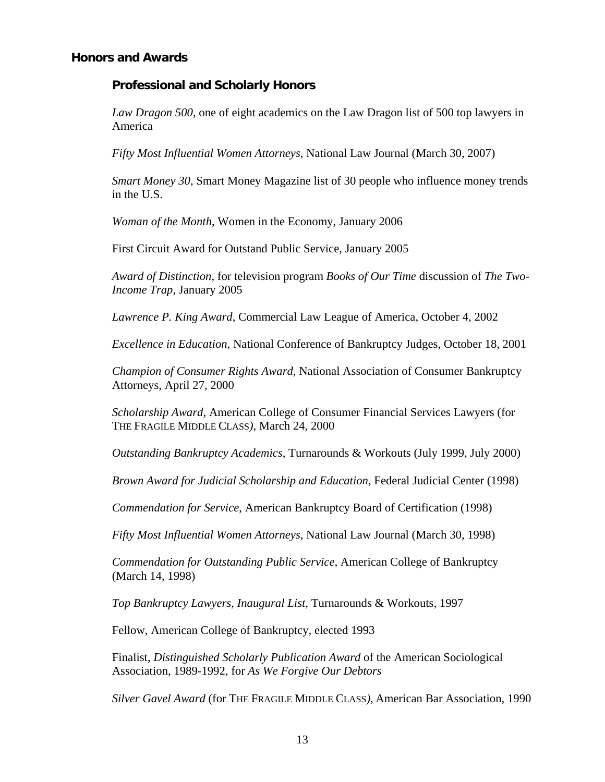#### **Honors and Awards**

#### **Professional and Scholarly Honors**

*Law Dragon 500*, one of eight academics on the Law Dragon list of 500 top lawyers in America

*Fifty Most Influential Women Attorneys*, National Law Journal (March 30, 2007)

*Smart Money 30*, Smart Money Magazine list of 30 people who influence money trends in the U.S.

*Woman of the Month*, Women in the Economy, January 2006

First Circuit Award for Outstand Public Service, January 2005

*Award of Distinction*, for television program *Books of Our Time* discussion of *The Two-Income Trap*, January 2005

*Lawrence P. King Award*, Commercial Law League of America, October 4, 2002

*Excellence in Education*, National Conference of Bankruptcy Judges, October 18, 2001

*Champion of Consumer Rights Award,* National Association of Consumer Bankruptcy Attorneys, April 27, 2000

*Scholarship Award,* American College of Consumer Financial Services Lawyers (for THE FRAGILE MIDDLE CLASS*)*, March 24, 2000

*Outstanding Bankruptcy Academics*, Turnarounds & Workouts (July 1999, July 2000)

*Brown Award for Judicial Scholarship and Education*, Federal Judicial Center (1998)

*Commendation for Service*, American Bankruptcy Board of Certification (1998)

*Fifty Most Influential Women Attorneys*, National Law Journal (March 30, 1998)

*Commendation for Outstanding Public Service*, American College of Bankruptcy (March 14, 1998)

*Top Bankruptcy Lawyers, Inaugural List*, Turnarounds & Workouts, 1997

Fellow, American College of Bankruptcy, elected 1993

Finalist, *Distinguished Scholarly Publication Award* of the American Sociological Association, 1989-1992, for *As We Forgive Our Debtors*

*Silver Gavel Award* (for THE FRAGILE MIDDLE CLASS*)*, American Bar Association, 1990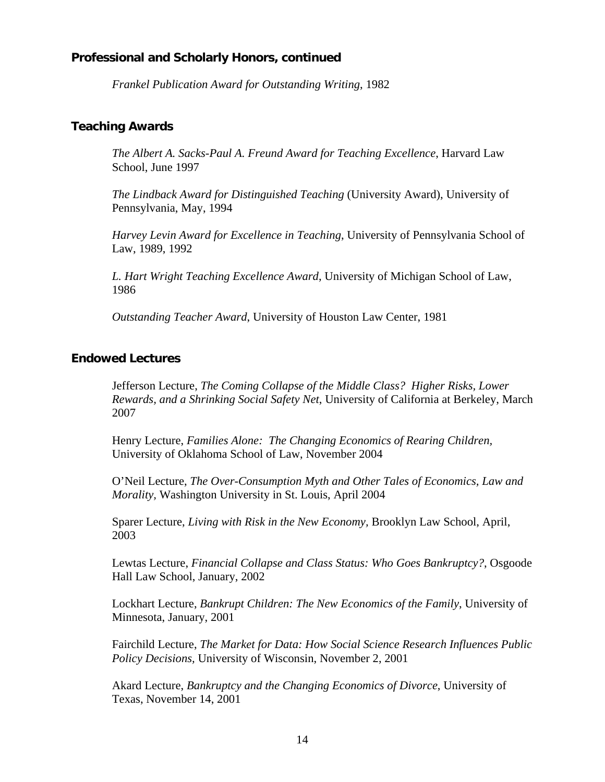## **Professional and Scholarly Honors, continued**

*Frankel Publication Award for Outstanding Writing*, 1982

### **Teaching Awards**

*The Albert A. Sacks-Paul A. Freund Award for Teaching Excellence*, Harvard Law School, June 1997

*The Lindback Award for Distinguished Teaching* (University Award), University of Pennsylvania, May, 1994

*Harvey Levin Award for Excellence in Teaching*, University of Pennsylvania School of Law, 1989, 1992

*L. Hart Wright Teaching Excellence Award*, University of Michigan School of Law, 1986

*Outstanding Teacher Award*, University of Houston Law Center, 1981

## **Endowed Lectures**

Jefferson Lecture, *The Coming Collapse of the Middle Class? Higher Risks, Lower Rewards, and a Shrinking Social Safety Net*, University of California at Berkeley, March 2007

Henry Lecture, *Families Alone: The Changing Economics of Rearing Children,* University of Oklahoma School of Law, November 2004

O'Neil Lecture, *The Over-Consumption Myth and Other Tales of Economics, Law and Morality,* Washington University in St. Louis, April 2004

Sparer Lecture, *Living with Risk in the New Economy,* Brooklyn Law School, April, 2003

Lewtas Lecture, *Financial Collapse and Class Status: Who Goes Bankruptcy?*, Osgoode Hall Law School, January, 2002

Lockhart Lecture, *Bankrupt Children: The New Economics of the Family*, University of Minnesota, January, 2001

Fairchild Lecture, *The Market for Data: How Social Science Research Influences Public Policy Decisions,* University of Wisconsin, November 2, 2001

Akard Lecture, *Bankruptcy and the Changing Economics of Divorce*, University of Texas, November 14, 2001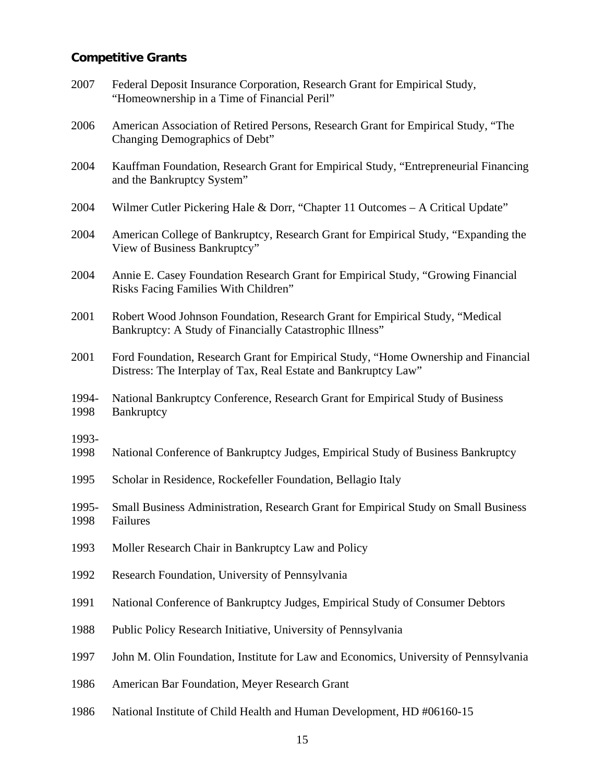# **Competitive Grants**

| 2007          | Federal Deposit Insurance Corporation, Research Grant for Empirical Study,<br>"Homeownership in a Time of Financial Peril"                            |
|---------------|-------------------------------------------------------------------------------------------------------------------------------------------------------|
| 2006          | American Association of Retired Persons, Research Grant for Empirical Study, "The<br>Changing Demographics of Debt"                                   |
| 2004          | Kauffman Foundation, Research Grant for Empirical Study, "Entrepreneurial Financing<br>and the Bankruptcy System"                                     |
| 2004          | Wilmer Cutler Pickering Hale & Dorr, "Chapter 11 Outcomes - A Critical Update"                                                                        |
| 2004          | American College of Bankruptcy, Research Grant for Empirical Study, "Expanding the<br>View of Business Bankruptcy"                                    |
| 2004          | Annie E. Casey Foundation Research Grant for Empirical Study, "Growing Financial<br>Risks Facing Families With Children"                              |
| 2001          | Robert Wood Johnson Foundation, Research Grant for Empirical Study, "Medical<br>Bankruptcy: A Study of Financially Catastrophic Illness"              |
| 2001          | Ford Foundation, Research Grant for Empirical Study, "Home Ownership and Financial<br>Distress: The Interplay of Tax, Real Estate and Bankruptcy Law" |
| 1994-<br>1998 | National Bankruptcy Conference, Research Grant for Empirical Study of Business<br>Bankruptcy                                                          |
| 1993-<br>1998 | National Conference of Bankruptcy Judges, Empirical Study of Business Bankruptcy                                                                      |
| 1995          | Scholar in Residence, Rockefeller Foundation, Bellagio Italy                                                                                          |
| 1995-<br>1998 | Small Business Administration, Research Grant for Empirical Study on Small Business<br>Failures                                                       |
| 1993          | Moller Research Chair in Bankruptcy Law and Policy                                                                                                    |
| 1992          | Research Foundation, University of Pennsylvania                                                                                                       |
| 1991          | National Conference of Bankruptcy Judges, Empirical Study of Consumer Debtors                                                                         |
| 1988          | Public Policy Research Initiative, University of Pennsylvania                                                                                         |
| 1997          | John M. Olin Foundation, Institute for Law and Economics, University of Pennsylvania                                                                  |
| 1986          | American Bar Foundation, Meyer Research Grant                                                                                                         |
| 1986          | National Institute of Child Health and Human Development, HD #06160-15                                                                                |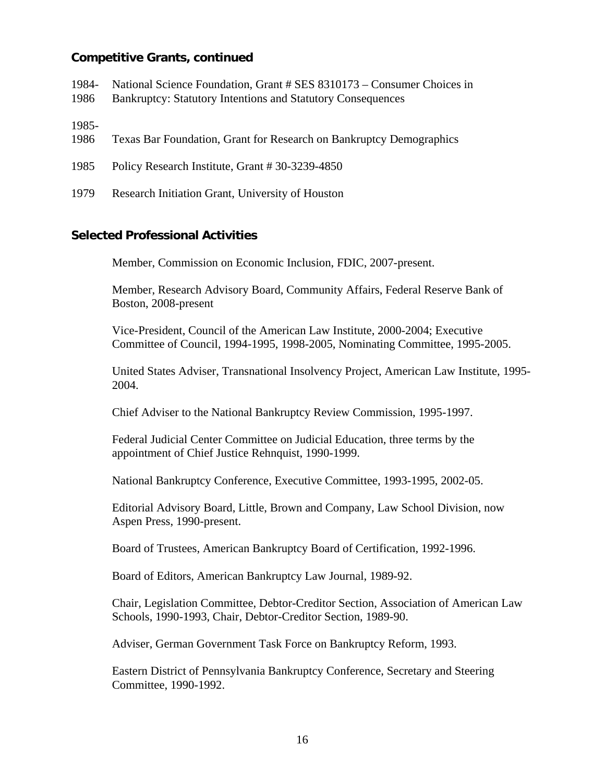## **Competitive Grants, continued**

- 1984- National Science Foundation, Grant # SES 8310173 – Consumer Choices in
- 1986 Bankruptcy: Statutory Intentions and Statutory Consequences

1985-

- 1986 Texas Bar Foundation, Grant for Research on Bankruptcy Demographics
- 1985 Policy Research Institute, Grant # 30-3239-4850
- 1979 Research Initiation Grant, University of Houston

#### **Selected Professional Activities**

Member, Commission on Economic Inclusion, FDIC, 2007-present.

Member, Research Advisory Board, Community Affairs, Federal Reserve Bank of Boston, 2008-present

Vice-President, Council of the American Law Institute, 2000-2004; Executive Committee of Council, 1994-1995, 1998-2005, Nominating Committee, 1995-2005.

United States Adviser, Transnational Insolvency Project, American Law Institute, 1995- 2004.

Chief Adviser to the National Bankruptcy Review Commission, 1995-1997.

Federal Judicial Center Committee on Judicial Education, three terms by the appointment of Chief Justice Rehnquist, 1990-1999.

National Bankruptcy Conference, Executive Committee, 1993-1995, 2002-05.

Editorial Advisory Board, Little, Brown and Company, Law School Division, now Aspen Press, 1990-present.

Board of Trustees, American Bankruptcy Board of Certification, 1992-1996.

Board of Editors, American Bankruptcy Law Journal, 1989-92.

Chair, Legislation Committee, Debtor-Creditor Section, Association of American Law Schools, 1990-1993, Chair, Debtor-Creditor Section, 1989-90.

Adviser, German Government Task Force on Bankruptcy Reform, 1993.

Eastern District of Pennsylvania Bankruptcy Conference, Secretary and Steering Committee, 1990-1992.